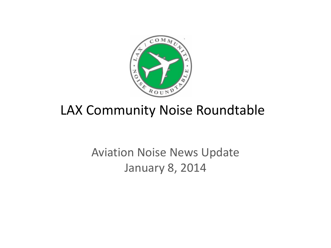

# LAX Community Noise Roundtable

# Aviation Noise News Update January 8, 2014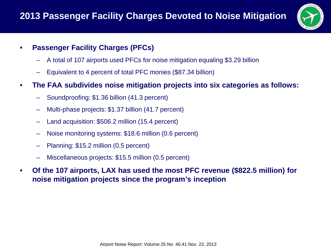

### • **Passenger Facility Charges (PFCs)**

- A total of 107 airports used PFCs for noise mitigation equaling \$3.29 billion
- Equivalent to 4 percent of total PFC monies (\$87.34 billion)
- **The FAA subdivides noise mitigation projects into six categories as follows:**
	- Soundproofing: \$1.36 billion (41.3 percent)
	- Multi-phase projects: \$1.37 billion (41.7 percent)
	- Land acquisition: \$506.2 million (15.4 percent)
	- Noise monitoring systems: \$18.6 million (0.6 percent)
	- Planning: \$15.2 million (0.5 percent)
	- Miscellaneous projects: \$15.5 million (0.5 percent)
- **Of the 107 airports, LAX has used the most PFC revenue (\$822.5 million) for noise mitigation projects since the program's inception**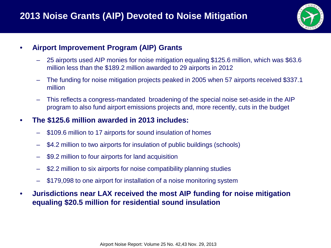

#### • **Airport Improvement Program (AIP) Grants**

- 25 airports used AIP monies for noise mitigation equaling \$125.6 million, which was \$63.6 million less than the \$189.2 million awarded to 29 airports in 2012
- The funding for noise mitigation projects peaked in 2005 when 57 airports received \$337.1 million
- This reflects a congress-mandated broadening of the special noise set-aside in the AIP program to also fund airport emissions projects and, more recently, cuts in the budget

#### • **The \$125.6 million awarded in 2013 includes:**

- \$109.6 million to 17 airports for sound insulation of homes
- \$4.2 million to two airports for insulation of public buildings (schools)
- \$9.2 million to four airports for land acquisition
- \$2.2 million to six airports for noise compatibility planning studies
- \$179,098 to one airport for installation of a noise monitoring system
- **Jurisdictions near LAX received the most AIP funding for noise mitigation equaling \$20.5 million for residential sound insulation**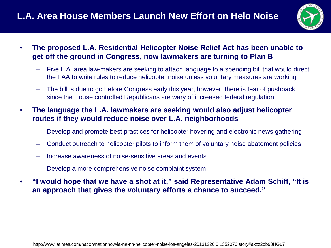

- **The proposed L.A. Residential Helicopter Noise Relief Act has been unable to get off the ground in Congress, now lawmakers are turning to Plan B**
	- Five L.A. area law-makers are seeking to attach language to a spending bill that would direct the FAA to write rules to reduce helicopter noise unless voluntary measures are working
	- The bill is due to go before Congress early this year, however, there is fear of pushback since the House controlled Republicans are wary of increased federal regulation
- **The language the L.A. lawmakers are seeking would also adjust helicopter routes if they would reduce noise over L.A. neighborhoods**
	- Develop and promote best practices for helicopter hovering and electronic news gathering
	- Conduct outreach to helicopter pilots to inform them of voluntary noise abatement policies
	- Increase awareness of noise-sensitive areas and events
	- Develop a more comprehensive noise complaint system
- **"I would hope that we have a shot at it," said Representative Adam Schiff, "It is an approach that gives the voluntary efforts a chance to succeed."**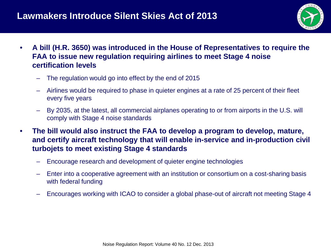## **Lawmakers Introduce Silent Skies Act of 2013**



- **A bill (H.R. 3650) was introduced in the House of Representatives to require the FAA to issue new regulation requiring airlines to meet Stage 4 noise certification levels**
	- The regulation would go into effect by the end of 2015
	- Airlines would be required to phase in quieter engines at a rate of 25 percent of their fleet every five years
	- By 2035, at the latest, all commercial airplanes operating to or from airports in the U.S. will comply with Stage 4 noise standards
- **The bill would also instruct the FAA to develop a program to develop, mature, and certify aircraft technology that will enable in-service and in-production civil turbojets to meet existing Stage 4 standards**
	- Encourage research and development of quieter engine technologies
	- Enter into a cooperative agreement with an institution or consortium on a cost-sharing basis with federal funding
	- Encourages working with ICAO to consider a global phase-out of aircraft not meeting Stage 4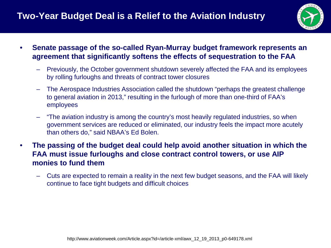

- **Senate passage of the so-called Ryan-Murray budget framework represents an agreement that significantly softens the effects of sequestration to the FAA**
	- Previously, the October government shutdown severely affected the FAA and its employees by rolling furloughs and threats of contract tower closures
	- The Aerospace Industries Association called the shutdown "perhaps the greatest challenge to general aviation in 2013," resulting in the furlough of more than one-third of FAA's employees
	- "The aviation industry is among the country's most heavily regulated industries, so when government services are reduced or eliminated, our industry feels the impact more acutely than others do," said NBAA's Ed Bolen.
- **The passing of the budget deal could help avoid another situation in which the FAA must issue furloughs and close contract control towers, or use AIP monies to fund them**
	- Cuts are expected to remain a reality in the next few budget seasons, and the FAA will likely continue to face tight budgets and difficult choices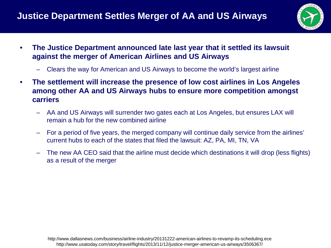

- **The Justice Department announced late last year that it settled its lawsuit against the merger of American Airlines and US Airways**
	- Clears the way for American and US Airways to become the world's largest airline
- **The settlement will increase the presence of low cost airlines in Los Angeles among other AA and US Airways hubs to ensure more competition amongst carriers**
	- AA and US Airways will surrender two gates each at Los Angeles, but ensures LAX will remain a hub for the new combined airline
	- For a period of five years, the merged company will continue daily service from the airlines' current hubs to each of the states that filed the lawsuit: AZ, PA, MI, TN, VA
	- The new AA CEO said that the airline must decide which destinations it will drop (less flights) as a result of the merger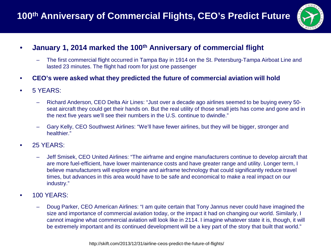

### • **January 1, 2014 marked the 100th Anniversary of commercial flight**

- The first commercial flight occurred in Tampa Bay in 1914 on the St. Petersburg-Tampa Airboat Line and lasted 23 minutes. The flight had room for just one passenger
- **CEO's were asked what they predicted the future of commercial aviation will hold**
- 5 YEARS:
	- Richard Anderson, CEO Delta Air Lines: "Just over a decade ago airlines seemed to be buying every 50 seat aircraft they could get their hands on. But the real utility of those small jets has come and gone and in the next five years we'll see their numbers in the U.S. continue to dwindle."
	- Gary Kelly, CEO Southwest Airlines: "We'll have fewer airlines, but they will be bigger, stronger and healthier."
- 25 YEARS:
	- Jeff Smisek, CEO United Airlines: "The airframe and engine manufacturers continue to develop aircraft that are more fuel-efficient, have lower maintenance costs and have greater range and utility. Longer term, I believe manufacturers will explore engine and airframe technology that could significantly reduce travel times, but advances in this area would have to be safe and economical to make a real impact on our industry."
- 100 YEARS:
	- Doug Parker, CEO American Airlines: "I am quite certain that Tony Jannus never could have imagined the size and importance of commercial aviation today, or the impact it had on changing our world. Similarly, I cannot imagine what commercial aviation will look like in 2114. I imagine whatever state it is, though, it will be extremely important and its continued development will be a key part of the story that built that world."